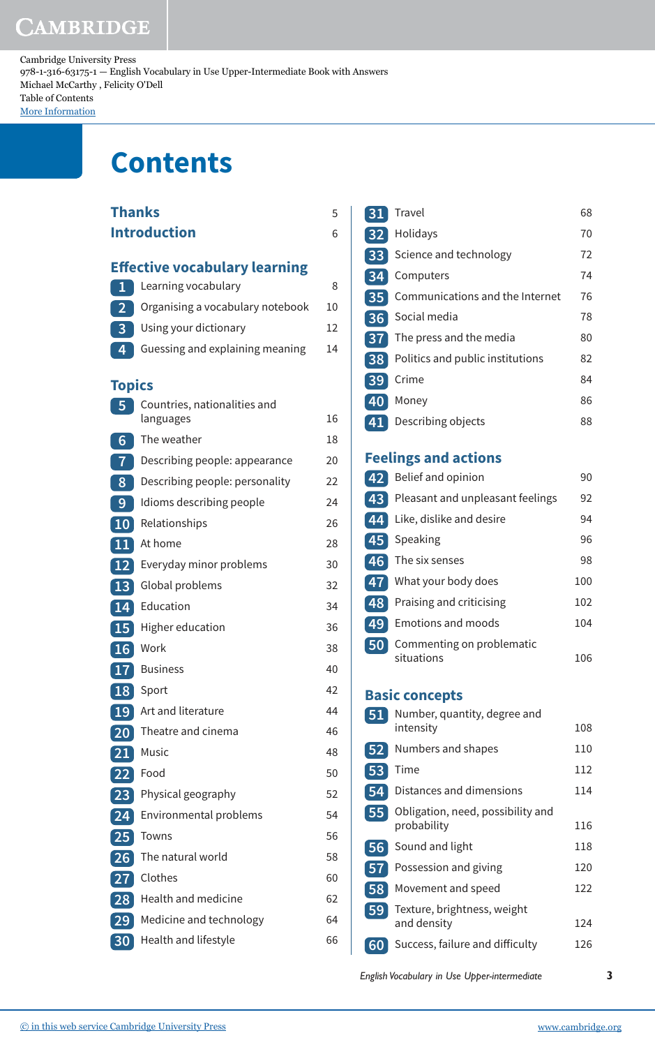# CAMBRIDGE

Cambridge University Press 978-1-316-63175-1 — English Vocabulary in Use Upper-Intermediate Book with Answers Michael McCarthy , Felicity O'Dell Table of Contents [More Information](www.cambridge.org/9781316631751)

# **Contents**

|                 | Thanks                                                      | 5  |
|-----------------|-------------------------------------------------------------|----|
|                 | <b>Introduction</b>                                         | 6  |
|                 |                                                             |    |
|                 | <b>Effective vocabulary learning</b><br>Learning vocabulary | 8  |
| $\mathbf{1}$    | Organising a vocabulary notebook                            | 10 |
| $\overline{2}$  | Using your dictionary                                       | 12 |
| 3<br>4          | Guessing and explaining meaning                             | 14 |
|                 |                                                             |    |
| <b>Topics</b>   |                                                             |    |
| 5               | Countries, nationalities and<br>languages                   | 16 |
| 6               | The weather                                                 | 18 |
| $\overline{7}$  | Describing people: appearance                               | 20 |
| 8               | Describing people: personality                              | 22 |
| 9               | Idioms describing people                                    | 24 |
| $\overline{10}$ | Relationships                                               | 26 |
| 11              | At home                                                     | 28 |
| 12              | Everyday minor problems                                     | 30 |
| 13              | Global problems                                             | 32 |
| 14              | Education                                                   | 34 |
| 15              | Higher education                                            | 36 |
| 16              | Work                                                        | 38 |
| 17              | <b>Business</b>                                             | 40 |
| 18              | Sport                                                       | 42 |
| 19              | Art and literature                                          | 44 |
| $20 \r$         | Theatre and cinema                                          | 46 |
| 21              | Music                                                       | 48 |
| 22              | Food                                                        | 50 |
| 23              | Physical geography                                          | 52 |
| 24              | Environmental problems                                      | 54 |
| 25              | Towns                                                       | 56 |
| 26              | The natural world                                           | 58 |
| 27              | Clothes                                                     | 60 |
| 28              | Health and medicine                                         | 62 |
| 29              | Medicine and technology                                     | 64 |
| 30 <sub>2</sub> | Health and lifestyle                                        | 66 |

| 31              | Travel                           | 68 |
|-----------------|----------------------------------|----|
| 32 <sub>2</sub> | Holidays                         | 70 |
| 33              | Science and technology           | 72 |
| 34              | Computers                        | 74 |
| 35              | Communications and the Internet  | 76 |
| 36              | Social media                     | 78 |
| 37              | The press and the media          | 80 |
| 38              | Politics and public institutions | 82 |
| 39              | Crime                            | 84 |
| 40              | Money                            | 86 |
|                 | Describing objects               | 88 |
|                 |                                  |    |

### **Feelings and actions**

| 42              | Belief and opinion                      | 90  |
|-----------------|-----------------------------------------|-----|
| $\overline{43}$ | Pleasant and unpleasant feelings        | 92  |
| 44              | Like, dislike and desire                | 94  |
| 45              | Speaking                                | 96  |
| 46              | The six senses                          | 98  |
| 47              | What your body does                     | 100 |
| 48              | Praising and criticising                | 102 |
| 49              | <b>Emotions and moods</b>               | 104 |
| $50^{\circ}$    | Commenting on problematic<br>situations | 106 |

#### **Basic concepts**

| 51   | Number, quantity, degree and<br>intensity        | 108 |
|------|--------------------------------------------------|-----|
| 52   | Numbers and shapes                               | 110 |
| 53   | Time                                             | 112 |
| 54   | Distances and dimensions                         | 114 |
| 55   | Obligation, need, possibility and<br>probability | 116 |
| 56   | Sound and light                                  | 118 |
| 57   | Possession and giving                            | 120 |
| 58   | Movement and speed                               | 122 |
| 59 [ | Texture, brightness, weight<br>and density       | 124 |
|      | Success, failure and difficulty                  | 126 |
|      |                                                  |     |

*English Vocabulary in Use Upper-intermediate* **3**